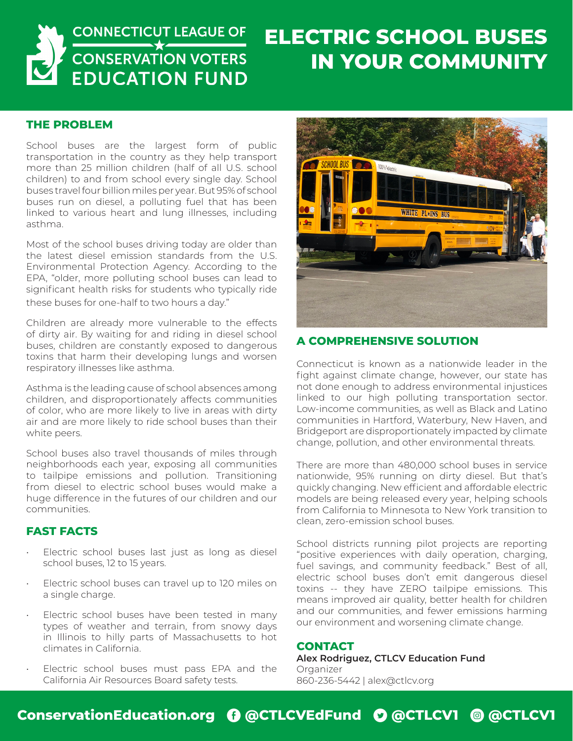

## **ELECTRIC SCHOOL BUSES IN YOUR COMMUNITY**

#### **THE PROBLEM**

School buses are the largest form of public transportation in the country as they help transport more than 25 million children (half of all U.S. school children) to and from school every single day. School buses travel four billion miles per year. But 95% of school buses run on diesel, a polluting fuel that has been linked to various heart and lung illnesses, including asthma.

Most of the school buses driving today are older than the latest diesel emission standards from the U.S. Environmental Protection Agency. According to the EPA, "older, more polluting school buses can lead to significant health risks for students who typically ride these buses for one-half to two hours a day."

Children are already more vulnerable to the effects of dirty air. By waiting for and riding in diesel school buses, children are constantly exposed to dangerous toxins that harm their developing lungs and worsen respiratory illnesses like asthma.

Asthma is the leading cause of school absences among children, and disproportionately affects communities of color, who are more likely to live in areas with dirty air and are more likely to ride school buses than their white peers.

School buses also travel thousands of miles through neighborhoods each year, exposing all communities to tailpipe emissions and pollution. Transitioning from diesel to electric school buses would make a huge difference in the futures of our children and our communities.

### **FAST FACTS**

- Electric school buses last just as long as diesel school buses, 12 to 15 years.
- Electric school buses can travel up to 120 miles on a single charge.
- Electric school buses have been tested in many types of weather and terrain, from snowy days in Illinois to hilly parts of Massachusetts to hot climates in California.
- Electric school buses must pass EPA and the California Air Resources Board safety tests.



### **A COMPREHENSIVE SOLUTION**

Connecticut is known as a nationwide leader in the fight against climate change, however, our state has not done enough to address environmental injustices linked to our high polluting transportation sector. Low-income communities, as well as Black and Latino communities in Hartford, Waterbury, New Haven, and Bridgeport are disproportionately impacted by climate change, pollution, and other environmental threats.

There are more than 480,000 school buses in service nationwide, 95% running on dirty diesel. But that's quickly changing. New efficient and affordable electric models are being released every year, helping schools from California to Minnesota to New York transition to clean, zero-emission school buses.

School districts running pilot projects are reporting "positive experiences with daily operation, charging, fuel savings, and community feedback." Best of all, electric school buses don't emit dangerous diesel toxins -- they have ZERO tailpipe emissions. This means improved air quality, better health for children and our communities, and fewer emissions harming our environment and worsening climate change.

#### **CONTACT**

**Alex Rodriguez, CTLCV Education Fund** Organizer 860-236-5442 | alex@ctlcv.org

### **ConservationEducation.org** E **@CTLCVEdFund** D **@CTLCV1** Q **@CTLCV1**